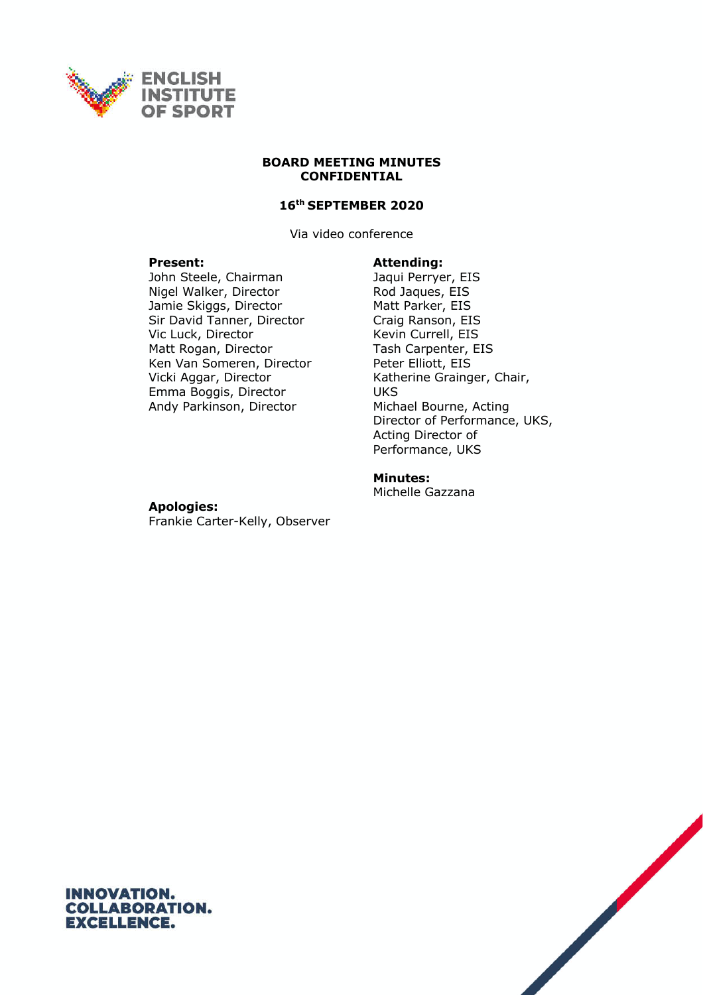

#### **BOARD MEETING MINUTES CONFIDENTIAL**

## **16th SEPTEMBER 2020**

Via video conference

John Steele, Chairman Jaqui Perryer, EIS Nigel Walker, Director Rod Jaques, EIS Jamie Skiggs, Director Matt Parker, EIS Sir David Tanner, Director Craig Ranson, EIS Vic Luck, Director Kevin Currell, EIS Matt Rogan, Director Tash Carpenter, EIS Ken Van Someren, Director Peter Elliott, EIS Vicki Aggar, Director Emma Boggis, Director Andy Parkinson, Director

#### **Present: Attending:**

Katherine Grainger, Chair, **UKS** Michael Bourne, Acting Director of Performance, UKS, Acting Director of Performance, UKS

## **Minutes:**

Michelle Gazzana

#### **Apologies:**

Frankie Carter-Kelly, Observer



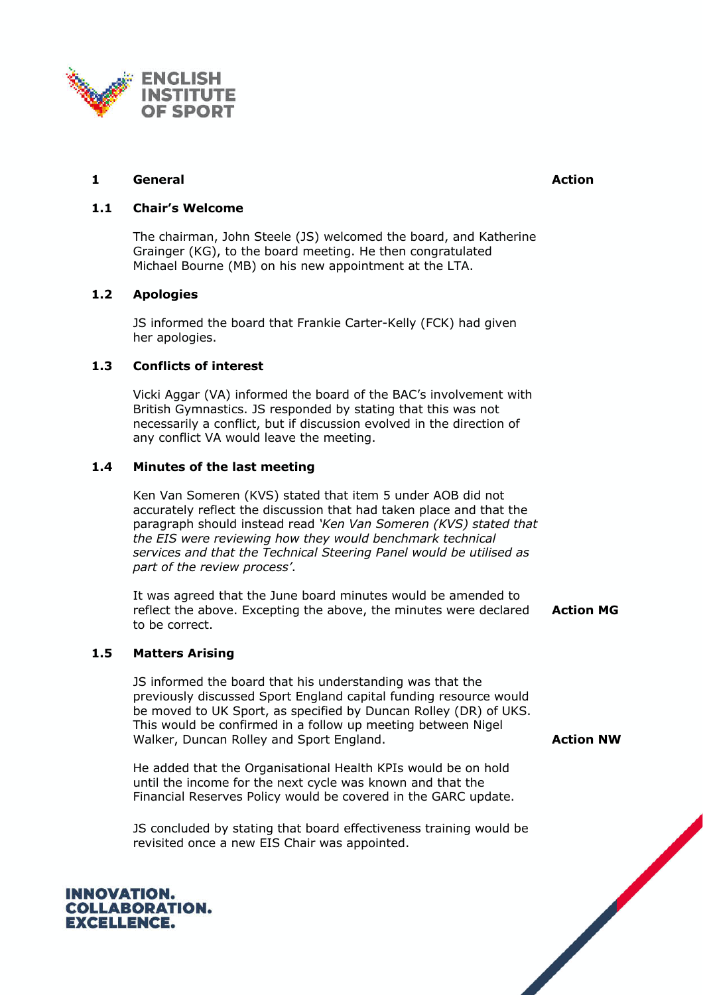

# **1 General Action**

## **1.1 Chair's Welcome**

The chairman, John Steele (JS) welcomed the board, and Katherine Grainger (KG), to the board meeting. He then congratulated Michael Bourne (MB) on his new appointment at the LTA.

## **1.2 Apologies**

JS informed the board that Frankie Carter-Kelly (FCK) had given her apologies.

## **1.3 Conflicts of interest**

Vicki Aggar (VA) informed the board of the BAC's involvement with British Gymnastics. JS responded by stating that this was not necessarily a conflict, but if discussion evolved in the direction of any conflict VA would leave the meeting.

## **1.4 Minutes of the last meeting**

Ken Van Someren (KVS) stated that item 5 under AOB did not accurately reflect the discussion that had taken place and that the paragraph should instead read *'Ken Van Someren (KVS) stated that the EIS were reviewing how they would benchmark technical services and that the Technical Steering Panel would be utilised as part of the review process'*.

It was agreed that the June board minutes would be amended to reflect the above. Excepting the above, the minutes were declared to be correct.

## **1.5 Matters Arising**

JS informed the board that his understanding was that the previously discussed Sport England capital funding resource would be moved to UK Sport, as specified by Duncan Rolley (DR) of UKS. This would be confirmed in a follow up meeting between Nigel Walker, Duncan Rolley and Sport England.

He added that the Organisational Health KPIs would be on hold until the income for the next cycle was known and that the Financial Reserves Policy would be covered in the GARC update.

JS concluded by stating that board effectiveness training would be revisited once a new EIS Chair was appointed.

**Action MG**

**Action NW**

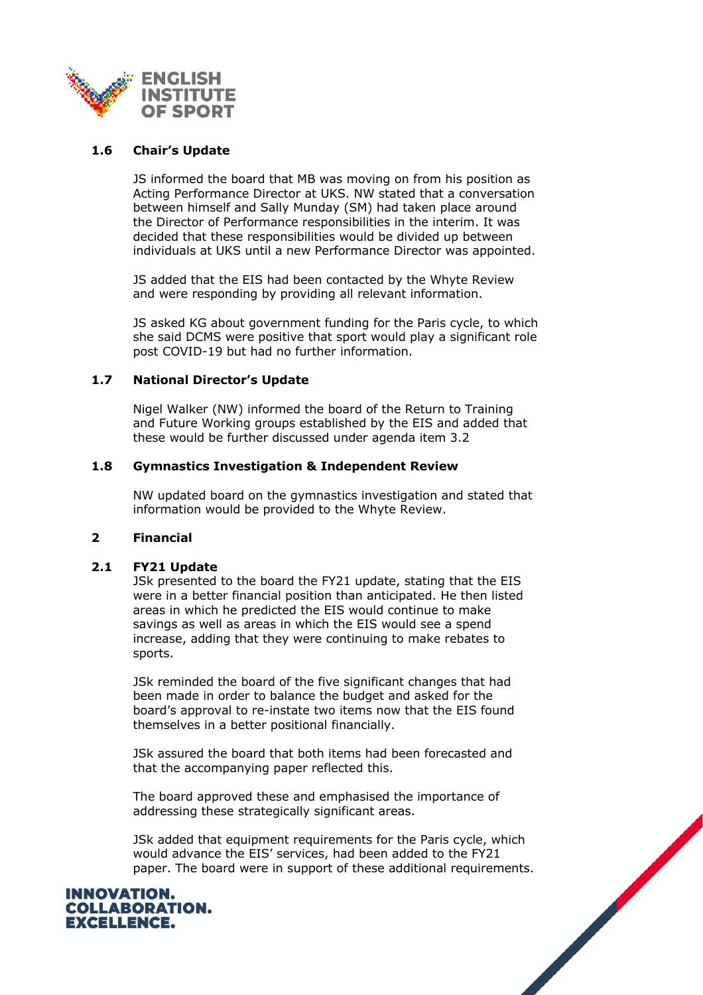

## **1.6 Chair's Update**

JS informed the board that MB was moving on from his position as Acting Performance Director at UKS. NW stated that a conversation between himself and Sally Munday (SM) had taken place around the Director of Performance responsibilities in the interim. It was decided that these responsibilities would be divided up between individuals at UKS until a new Performance Director was appointed.

JS added that the EIS had been contacted by the Whyte Review and were responding by providing all relevant information.

JS asked KG about government funding for the Paris cycle, to which she said DCMS were positive that sport would play a significant role post COVID-19 but had no further information.

## **1.7 National Director's Update**

Nigel Walker (NW) informed the board of the Return to Training and Future Working groups established by the EIS and added that these would be further discussed under agenda item 3.2

## **1.8 Gymnastics Investigation & Independent Review**

NW updated board on the gymnastics investigation and stated that information would be provided to the Whyte Review.

## **2 Financial**

## **2.1 FY21 Update**

JSk presented to the board the FY21 update, stating that the EIS were in a better financial position than anticipated. He then listed areas in which he predicted the EIS would continue to make savings as well as areas in which the EIS would see a spend increase, adding that they were continuing to make rebates to sports.

JSk reminded the board of the five significant changes that had been made in order to balance the budget and asked for the board's approval to re-instate two items now that the EIS found themselves in a better positional financially.

JSk assured the board that both items had been forecasted and that the accompanying paper reflected this.

The board approved these and emphasised the importance of addressing these strategically significant areas.

JSk added that equipment requirements for the Paris cycle, which would advance the EIS' services, had been added to the FY21 paper. The board were in support of these additional requirements.

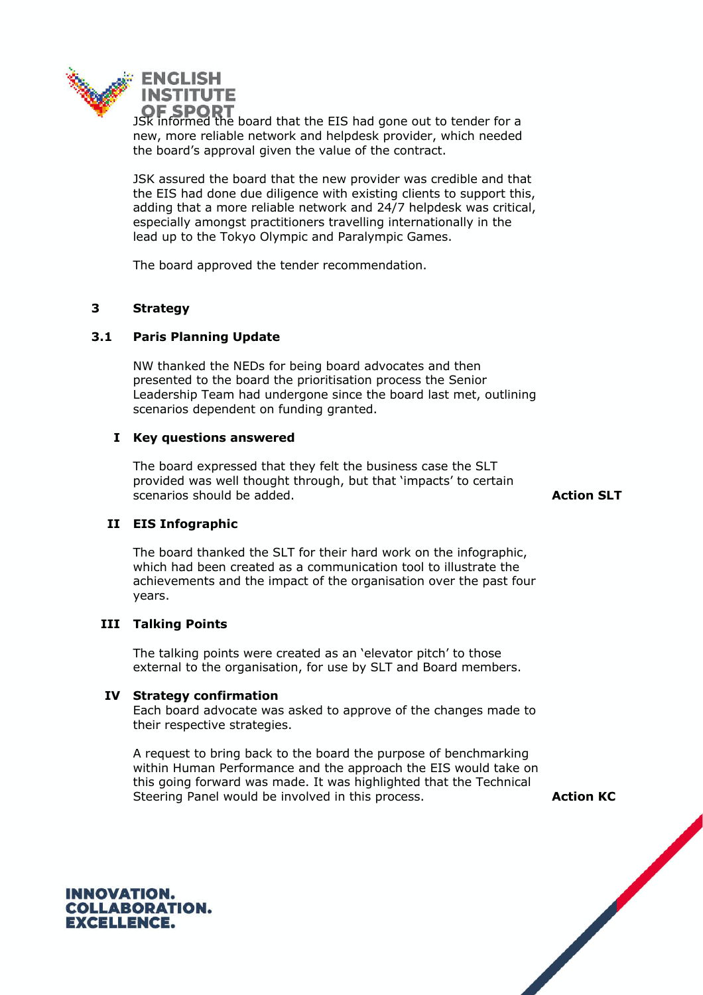

**OF SPORT**<br>JSk informed the board that the EIS had gone out to tender for a new, more reliable network and helpdesk provider, which needed the board's approval given the value of the contract.

JSK assured the board that the new provider was credible and that the EIS had done due diligence with existing clients to support this, adding that a more reliable network and 24/7 helpdesk was critical, especially amongst practitioners travelling internationally in the lead up to the Tokyo Olympic and Paralympic Games.

The board approved the tender recommendation.

## **3 Strategy**

## **3.1 Paris Planning Update**

NW thanked the NEDs for being board advocates and then presented to the board the prioritisation process the Senior Leadership Team had undergone since the board last met, outlining scenarios dependent on funding granted.

## **I Key questions answered**

The board expressed that they felt the business case the SLT provided was well thought through, but that 'impacts' to certain scenarios should be added. **Action SLT Action SLT** 

# **II EIS Infographic**

The board thanked the SLT for their hard work on the infographic, which had been created as a communication tool to illustrate the achievements and the impact of the organisation over the past four years.

## **III Talking Points**

The talking points were created as an 'elevator pitch' to those external to the organisation, for use by SLT and Board members.

## **IV Strategy confirmation**

Each board advocate was asked to approve of the changes made to their respective strategies.

A request to bring back to the board the purpose of benchmarking within Human Performance and the approach the EIS would take on this going forward was made. It was highlighted that the Technical Steering Panel would be involved in this process. **Action KC** 

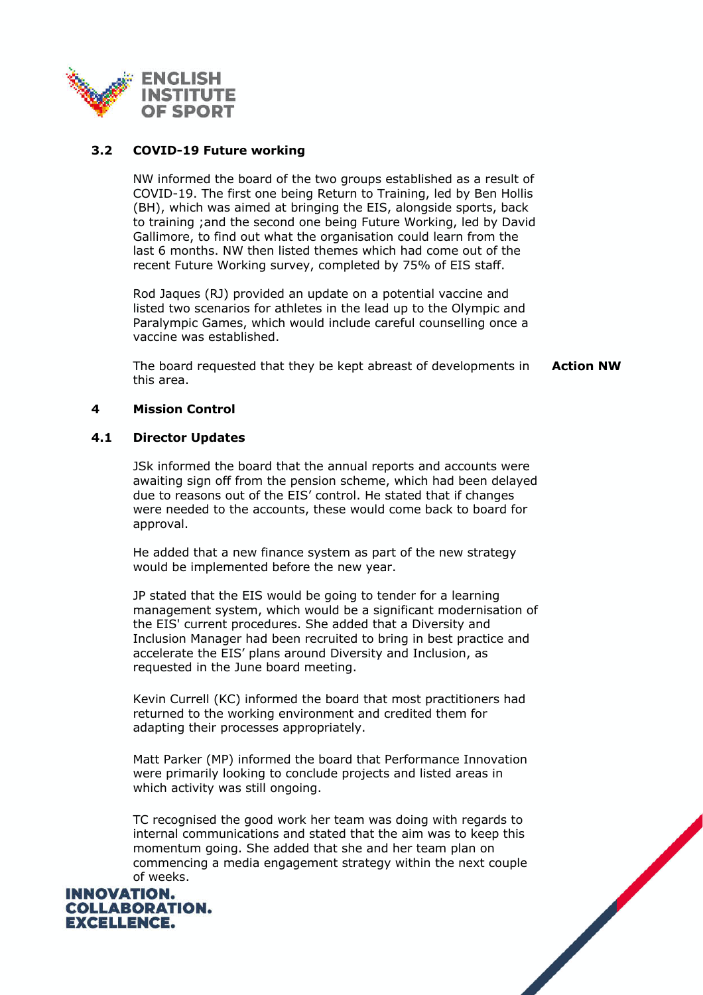

## **3.2 COVID-19 Future working**

NW informed the board of the two groups established as a result of COVID-19. The first one being Return to Training, led by Ben Hollis (BH), which was aimed at bringing the EIS, alongside sports, back to training ;and the second one being Future Working, led by David Gallimore, to find out what the organisation could learn from the last 6 months. NW then listed themes which had come out of the recent Future Working survey, completed by 75% of EIS staff.

Rod Jaques (RJ) provided an update on a potential vaccine and listed two scenarios for athletes in the lead up to the Olympic and Paralympic Games, which would include careful counselling once a vaccine was established.

The board requested that they be kept abreast of developments in this area. **Action NW**

## **4 Mission Control**

## **4.1 Director Updates**

JSk informed the board that the annual reports and accounts were awaiting sign off from the pension scheme, which had been delayed due to reasons out of the EIS' control. He stated that if changes were needed to the accounts, these would come back to board for approval.

He added that a new finance system as part of the new strategy would be implemented before the new year.

JP stated that the EIS would be going to tender for a learning management system, which would be a significant modernisation of the EIS' current procedures. She added that a Diversity and Inclusion Manager had been recruited to bring in best practice and accelerate the EIS' plans around Diversity and Inclusion, as requested in the June board meeting.

Kevin Currell (KC) informed the board that most practitioners had returned to the working environment and credited them for adapting their processes appropriately.

Matt Parker (MP) informed the board that Performance Innovation were primarily looking to conclude projects and listed areas in which activity was still ongoing.

TC recognised the good work her team was doing with regards to internal communications and stated that the aim was to keep this momentum going. She added that she and her team plan on commencing a media engagement strategy within the next couple of weeks.



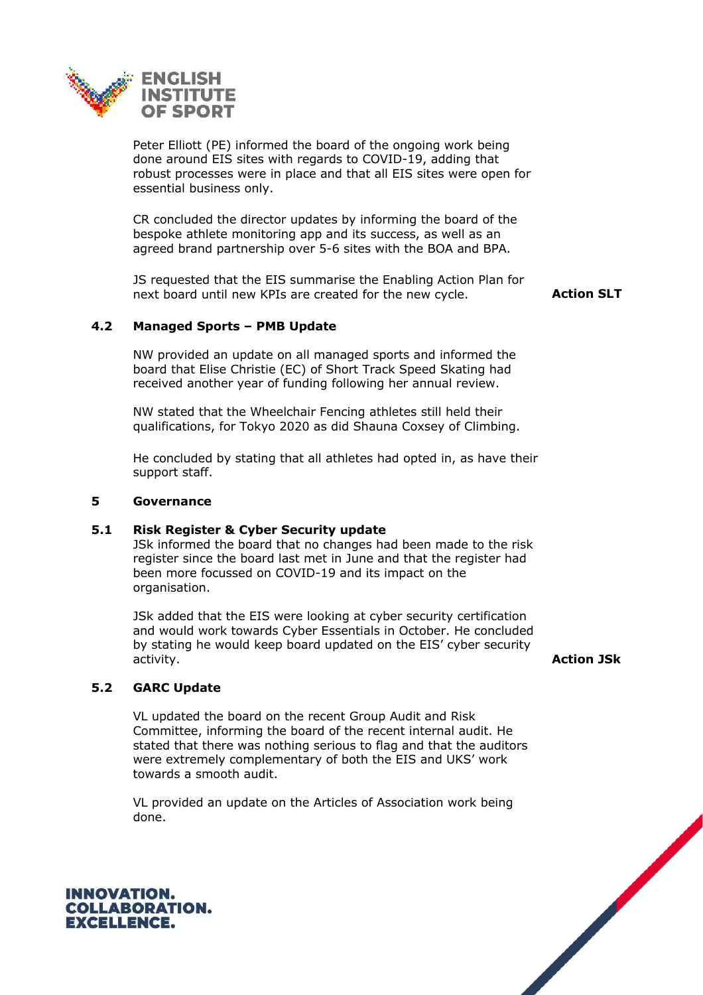

Peter Elliott (PE) informed the board of the ongoing work being done around EIS sites with regards to COVID-19, adding that robust processes were in place and that all EIS sites were open for essential business only.

CR concluded the director updates by informing the board of the bespoke athlete monitoring app and its success, as well as an agreed brand partnership over 5-6 sites with the BOA and BPA.

JS requested that the EIS summarise the Enabling Action Plan for next board until new KPIs are created for the new cycle. **Action SLT** 

## **4.2 Managed Sports – PMB Update**

NW provided an update on all managed sports and informed the board that Elise Christie (EC) of Short Track Speed Skating had received another year of funding following her annual review.

NW stated that the Wheelchair Fencing athletes still held their qualifications, for Tokyo 2020 as did Shauna Coxsey of Climbing.

He concluded by stating that all athletes had opted in, as have their support staff.

#### **5 Governance**

## **5.1 Risk Register & Cyber Security update**

JSk informed the board that no changes had been made to the risk register since the board last met in June and that the register had been more focussed on COVID-19 and its impact on the organisation.

JSk added that the EIS were looking at cyber security certification and would work towards Cyber Essentials in October. He concluded by stating he would keep board updated on the EIS' cyber security activity. **Action JSk**

## **5.2 GARC Update**

VL updated the board on the recent Group Audit and Risk Committee, informing the board of the recent internal audit. He stated that there was nothing serious to flag and that the auditors were extremely complementary of both the EIS and UKS' work towards a smooth audit.

VL provided an update on the Articles of Association work being done.